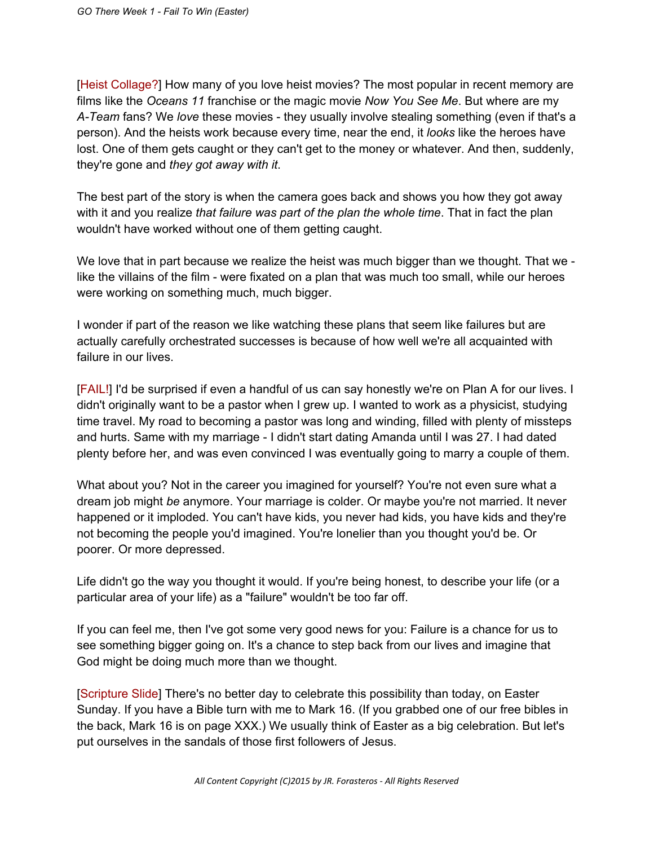[Heist Collage?] How many of you love heist movies? The most popular in recent memory are films like the *Oceans 11* franchise or the magic movie *Now You See Me*. But where are my A-Team fans? We love these movies - they usually involve stealing something (even if that's a person). And the heists work because every time, near the end, it *looks* like the heroes have lost. One of them gets caught or they can't get to the money or whatever. And then, suddenly, they're gone and *they got away with it*.

The best part of the story is when the camera goes back and shows you how they got away with it and you realize *that failure was part of the plan the whole time*. That in fact the plan wouldn't have worked without one of them getting caught.

We love that in part because we realize the heist was much bigger than we thought. That we like the villains of the film - were fixated on a plan that was much too small, while our heroes were working on something much, much bigger.

I wonder if part of the reason we like watching these plans that seem like failures but are actually carefully orchestrated successes is because of how well we're all acquainted with failure in our lives.

[FAIL!] I'd be surprised if even a handful of us can say honestly we're on Plan A for our lives. I didn't originally want to be a pastor when I grew up. I wanted to work as a physicist, studying time travel. My road to becoming a pastor was long and winding, filled with plenty of missteps and hurts. Same with my marriage - I didn't start dating Amanda until I was 27. I had dated plenty before her, and was even convinced I was eventually going to marry a couple of them.

What about you? Not in the career you imagined for yourself? You're not even sure what a dream job might *be* anymore. Your marriage is colder. Or maybe you're not married. It never happened or it imploded. You can't have kids, you never had kids, you have kids and they're not becoming the people you'd imagined. You're lonelier than you thought you'd be. Or poorer. Or more depressed.

Life didn't go the way you thought it would. If you're being honest, to describe your life (or a particular area of your life) as a "failure" wouldn't be too far off.

If you can feel me, then I've got some very good news for you: Failure is a chance for us to see something bigger going on. It's a chance to step back from our lives and imagine that God might be doing much more than we thought.

[Scripture Slide] There's no better day to celebrate this possibility than today, on Easter Sunday. If you have a Bible turn with me to Mark 16. (If you grabbed one of our free bibles in the back, Mark 16 is on page XXX.) We usually think of Easter as a big celebration. But let's put ourselves in the sandals of those first followers of Jesus.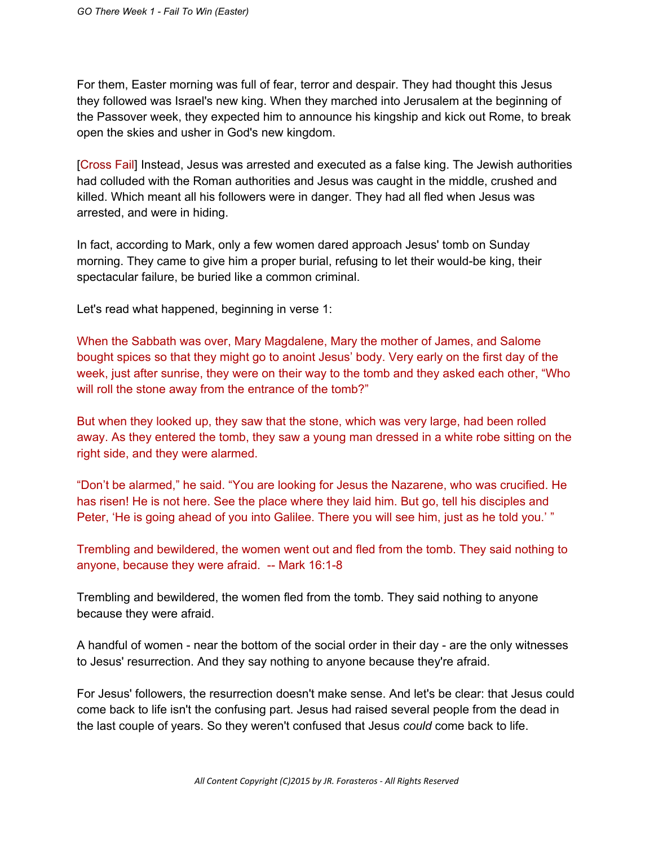For them, Easter morning was full of fear, terror and despair. They had thought this Jesus they followed was Israel's new king. When they marched into Jerusalem at the beginning of the Passover week, they expected him to announce his kingship and kick out Rome, to break open the skies and usher in God's new kingdom.

[Cross Fail] Instead, Jesus was arrested and executed as a false king. The Jewish authorities had colluded with the Roman authorities and Jesus was caught in the middle, crushed and killed. Which meant all his followers were in danger. They had all fled when Jesus was arrested, and were in hiding.

In fact, according to Mark, only a few women dared approach Jesus' tomb on Sunday morning. They came to give him a proper burial, refusing to let their would-be king, their spectacular failure, be buried like a common criminal.

Let's read what happened, beginning in verse 1:

When the Sabbath was over, Mary Magdalene, Mary the mother of James, and Salome bought spices so that they might go to anoint Jesus' body. Very early on the first day of the week, just after sunrise, they were on their way to the tomb and they asked each other, "Who will roll the stone away from the entrance of the tomb?"

But when they looked up, they saw that the stone, which was very large, had been rolled away. As they entered the tomb, they saw a young man dressed in a white robe sitting on the right side, and they were alarmed.

"Don't be alarmed," he said. "You are looking for Jesus the Nazarene, who was crucified. He has risen! He is not here. See the place where they laid him. But go, tell his disciples and Peter, 'He is going ahead of you into Galilee. There you will see him, just as he told you.' "

Trembling and bewildered, the women went out and fled from the tomb. They said nothing to anyone, because they were afraid.  $-$  Mark 16:1-8

Trembling and bewildered, the women fled from the tomb. They said nothing to anyone because they were afraid.

A handful of women - near the bottom of the social order in their day - are the only witnesses to Jesus' resurrection. And they say nothing to anyone because they're afraid.

For Jesus' followers, the resurrection doesn't make sense. And let's be clear: that Jesus could come back to life isn't the confusing part. Jesus had raised several people from the dead in the last couple of years. So they weren't confused that Jesus *could* come back to life.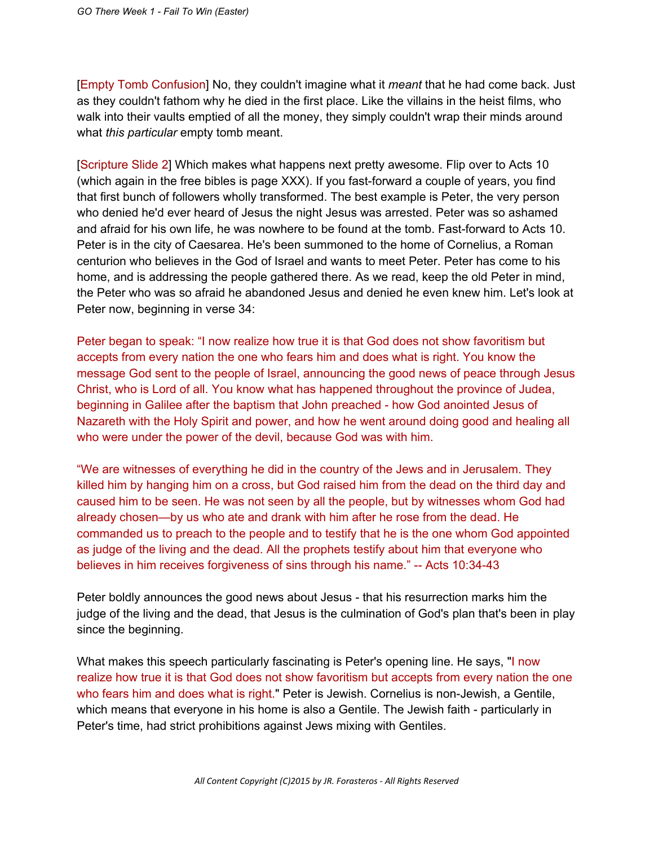[Empty Tomb Confusion] No, they couldn't imagine what it *meant* that he had come back. Just as they couldn't fathom why he died in the first place. Like the villains in the heist films, who walk into their vaults emptied of all the money, they simply couldn't wrap their minds around what *this particular* empty tomb meant.

[Scripture Slide 2] Which makes what happens next pretty awesome. Flip over to Acts 10 (which again in the free bibles is page  $XXX$ ). If you fast-forward a couple of years, you find that first bunch of followers wholly transformed. The best example is Peter, the very person who denied he'd ever heard of Jesus the night Jesus was arrested. Peter was so ashamed and afraid for his own life, he was nowhere to be found at the tomb. Fast-forward to Acts 10. Peter is in the city of Caesarea. He's been summoned to the home of Cornelius, a Roman centurion who believes in the God of Israel and wants to meet Peter. Peter has come to his home, and is addressing the people gathered there. As we read, keep the old Peter in mind, the Peter who was so afraid he abandoned Jesus and denied he even knew him. Let's look at Peter now, beginning in verse 34:

Peter began to speak: "I now realize how true it is that God does not show favoritism but accepts from every nation the one who fears him and does what is right. You know the message God sent to the people of Israel, announcing the good news of peace through Jesus Christ, who is Lord of all. You know what has happened throughout the province of Judea, beginning in Galilee after the baptism that John preached how God anointed Jesus of Nazareth with the Holy Spirit and power, and how he went around doing good and healing all who were under the power of the devil, because God was with him.

"We are witnesses of everything he did in the country of the Jews and in Jerusalem. They killed him by hanging him on a cross, but God raised him from the dead on the third day and caused him to be seen. He was not seen by all the people, but by witnesses whom God had already chosen—by us who ate and drank with him after he rose from the dead. He commanded us to preach to the people and to testify that he is the one whom God appointed as judge of the living and the dead. All the prophets testify about him that everyone who believes in him receives forgiveness of sins through his name." -- Acts 10:34-43

Peter boldly announces the good news about Jesus - that his resurrection marks him the judge of the living and the dead, that Jesus is the culmination of God's plan that's been in play since the beginning.

What makes this speech particularly fascinating is Peter's opening line. He says, "I now realize how true it is that God does not show favoritism but accepts from every nation the one who fears him and does what is right." Peter is Jewish. Cornelius is non-Jewish, a Gentile, which means that everyone in his home is also a Gentile. The Jewish faith - particularly in Peter's time, had strict prohibitions against Jews mixing with Gentiles.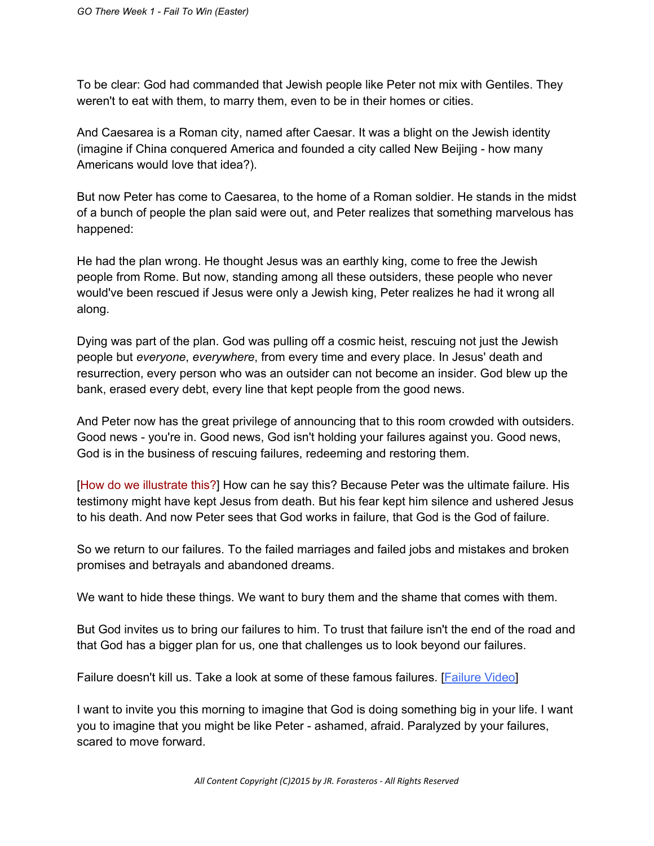To be clear: God had commanded that Jewish people like Peter not mix with Gentiles. They weren't to eat with them, to marry them, even to be in their homes or cities.

And Caesarea is a Roman city, named after Caesar. It was a blight on the Jewish identity (imagine if China conquered America and founded a city called New Beijing - how many Americans would love that idea?).

But now Peter has come to Caesarea, to the home of a Roman soldier. He stands in the midst of a bunch of people the plan said were out, and Peter realizes that something marvelous has happened:

He had the plan wrong. He thought Jesus was an earthly king, come to free the Jewish people from Rome. But now, standing among all these outsiders, these people who never would've been rescued if Jesus were only a Jewish king, Peter realizes he had it wrong all along.

Dying was part of the plan. God was pulling off a cosmic heist, rescuing not just the Jewish people but *everyone*, *everywhere*, from every time and every place. In Jesus' death and resurrection, every person who was an outsider can not become an insider. God blew up the bank, erased every debt, every line that kept people from the good news.

And Peter now has the great privilege of announcing that to this room crowded with outsiders. Good news - you're in. Good news, God isn't holding your failures against you. Good news, God is in the business of rescuing failures, redeeming and restoring them.

[How do we illustrate this?] How can he say this? Because Peter was the ultimate failure. His testimony might have kept Jesus from death. But his fear kept him silence and ushered Jesus to his death. And now Peter sees that God works in failure, that God is the God of failure.

So we return to our failures. To the failed marriages and failed jobs and mistakes and broken promises and betrayals and abandoned dreams.

We want to hide these things. We want to bury them and the shame that comes with them.

But God invites us to bring our failures to him. To trust that failure isn't the end of the road and that God has a bigger plan for us, one that challenges us to look beyond our failures.

Failure doesn't kill us. Take a look at some of these famous failures. [\[Failure](https://www.youtube.com/watch?v=Y6hz_s2XIAU) Video]

I want to invite you this morning to imagine that God is doing something big in your life. I want you to imagine that you might be like Peter - ashamed, afraid. Paralyzed by your failures, scared to move forward.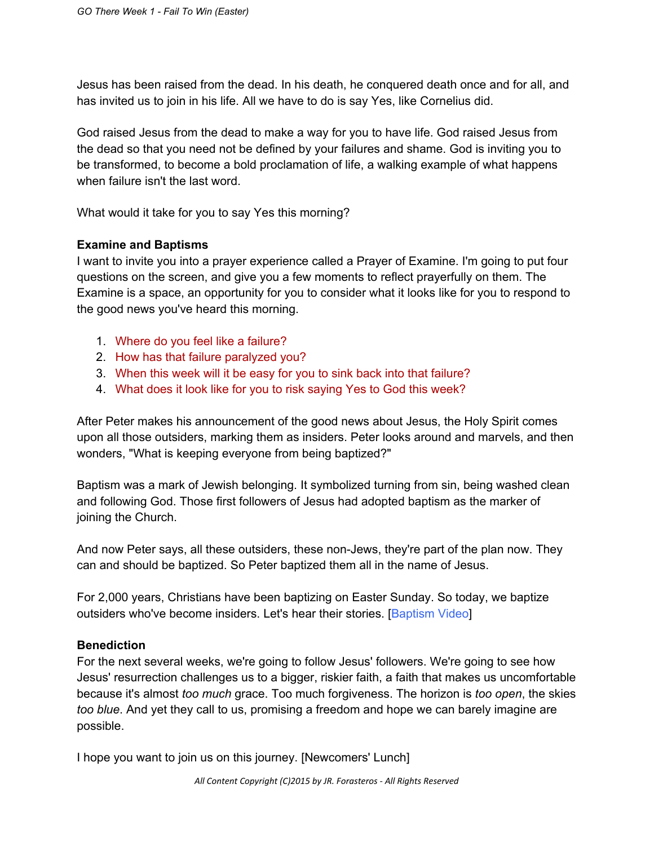Jesus has been raised from the dead. In his death, he conquered death once and for all, and has invited us to join in his life. All we have to do is say Yes, like Cornelius did.

God raised Jesus from the dead to make a way for you to have life. God raised Jesus from the dead so that you need not be defined by your failures and shame. God is inviting you to be transformed, to become a bold proclamation of life, a walking example of what happens when failure isn't the last word.

What would it take for you to say Yes this morning?

## **Examine and Baptisms**

I want to invite you into a prayer experience called a Prayer of Examine. I'm going to put four questions on the screen, and give you a few moments to reflect prayerfully on them. The Examine is a space, an opportunity for you to consider what it looks like for you to respond to the good news you've heard this morning.

- 1. Where do you feel like a failure?
- 2. How has that failure paralyzed you?
- 3. When this week will it be easy for you to sink back into that failure?
- 4. What does it look like for you to risk saying Yes to God this week?

After Peter makes his announcement of the good news about Jesus, the Holy Spirit comes upon all those outsiders, marking them as insiders. Peter looks around and marvels, and then wonders, "What is keeping everyone from being baptized?"

Baptism was a mark of Jewish belonging. It symbolized turning from sin, being washed clean and following God. Those first followers of Jesus had adopted baptism as the marker of joining the Church.

And now Peter says, all these outsiders, these non-Jews, they're part of the plan now. They can and should be baptized. So Peter baptized them all in the name of Jesus.

For 2,000 years, Christians have been baptizing on Easter Sunday. So today, we baptize outsiders who've become insiders. Let's hear their stories. [Baptism Video]

## **Benediction**

For the next several weeks, we're going to follow Jesus' followers. We're going to see how Jesus' resurrection challenges us to a bigger, riskier faith, a faith that makes us uncomfortable because it's almost *too much* grace. Too much forgiveness. The horizon is *too open*, the skies *too blue*. And yet they call to us, promising a freedom and hope we can barely imagine are possible.

I hope you want to join us on this journey. [Newcomers' Lunch]